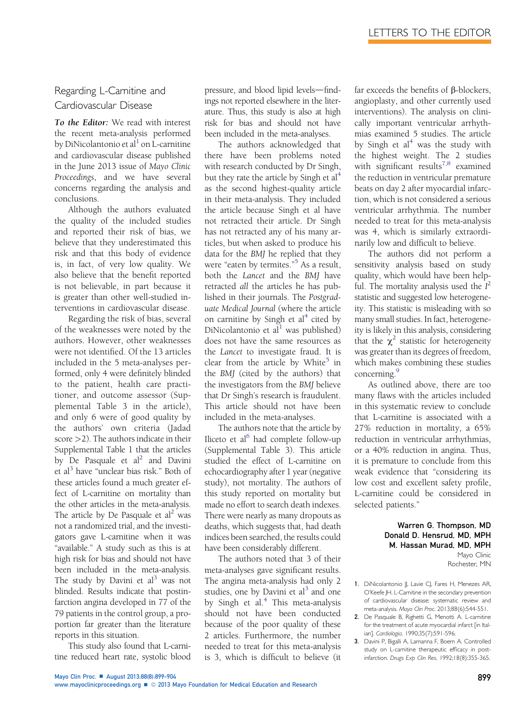# Regarding L-Carnitine and Cardiovascular Disease

To the Editor: We read with interest the recent meta-analysis performed by DiNicolantonio et al $^1$  on L-carnitine and cardiovascular disease published in the June 2013 issue of Mayo Clinic Proceedings, and we have several concerns regarding the analysis and conclusions.

Although the authors evaluated the quality of the included studies and reported their risk of bias, we believe that they underestimated this risk and that this body of evidence is, in fact, of very low quality. We also believe that the benefit reported is not believable, in part because it is greater than other well-studied interventions in cardiovascular disease.

Regarding the risk of bias, several of the weaknesses were noted by the authors. However, other weaknesses were not identified. Of the 13 articles included in the 5 meta-analyses performed, only 4 were definitely blinded to the patient, health care practitioner, and outcome assessor (Supplemental Table 3 in the article), and only 6 were of good quality by the authors' own criteria (Jadad score >2). The authors indicate in their Supplemental Table 1 that the articles by De Pasquale et  $al^2$  and Davini et al<sup>3</sup> have "unclear bias risk." Both of these articles found a much greater effect of L-carnitine on mortality than the other articles in the meta-analysis. The article by De Pasquale et al<sup>2</sup> was not a randomized trial, and the investigators gave L-carnitine when it was "available." A study such as this is at high risk for bias and should not have been included in the meta-analysis. The study by Davini et  $al<sup>3</sup>$  was not blinded. Results indicate that postinfarction angina developed in 77 of the 79 patients in the control group, a proportion far greater than the literature reports in this situation.

This study also found that L-carnitine reduced heart rate, systolic blood

pressure, and blood lipid levels-findings not reported elsewhere in the literature. Thus, this study is also at high risk for bias and should not have been included in the meta-analyses.

The authors acknowledged that there have been problems noted with research conducted by Dr Singh, but they rate the article by Singh et  $al<sup>4</sup>$  $al<sup>4</sup>$  $al<sup>4</sup>$ as the second highest-quality article in their meta-analysis. They included the article because Singh et al have not retracted their article. Dr Singh has not retracted any of his many articles, but when asked to produce his data for the BMJ he replied that they were "eaten by termites." [5](#page-1-0) As a result, both the Lancet and the BMJ have retracted all the articles he has published in their journals. The Postgraduate Medical Journal (where the article on carnitine by Singh et  $al<sup>4</sup>$  $al<sup>4</sup>$  $al<sup>4</sup>$  cited by DiNicolantonio et al<sup>1</sup> was published) does not have the same resources as the Lancet to investigate fraud. It is clear from the article by White<sup>[5](#page-1-0)</sup> in the BMJ (cited by the authors) that the investigators from the BMJ believe that Dr Singh's research is fraudulent. This article should not have been included in the meta-analyses.

The authors note that the article by Iliceto et al $<sup>6</sup>$  $<sup>6</sup>$  $<sup>6</sup>$  had complete follow-up</sup> (Supplemental Table 3). This article studied the effect of L-carnitine on echocardiography after 1 year (negative study), not mortality. The authors of this study reported on mortality but made no effort to search death indexes. There were nearly as many dropouts as deaths, which suggests that, had death indices been searched, the results could have been considerably different.

The authors noted that 3 of their meta-analyses gave significant results. The angina meta-analysis had only 2 studies, one by Davini et  $al<sup>3</sup>$  and one by Singh et al.<sup>[4](#page-1-0)</sup> This meta-analysis should not have been conducted because of the poor quality of these 2 articles. Furthermore, the number needed to treat for this meta-analysis is 3, which is difficult to believe (it

far exceeds the benefits of  $\beta$ -blockers, angioplasty, and other currently used interventions). The analysis on clinically important ventricular arrhythmias examined 5 studies. The article by Singh et  $al<sup>4</sup>$  $al<sup>4</sup>$  $al<sup>4</sup>$  was the study with the highest weight. The 2 studies with significant results<sup>7,8</sup> examined the reduction in ventricular premature beats on day 2 after myocardial infarction, which is not considered a serious ventricular arrhythmia. The number needed to treat for this meta-analysis was 4, which is similarly extraordinarily low and difficult to believe.

The authors did not perform a sensitivity analysis based on study quality, which would have been helpful. The mortality analysis used the  $I^2$ statistic and suggested low heterogeneity. This statistic is misleading with so many small studies. In fact, heterogeneity is likely in this analysis, considering that the  $\chi^2$  statistic for heterogeneity was greater than its degrees of freedom, which makes combining these studies concerning.<sup>[9](#page-1-0)</sup>

As outlined above, there are too many flaws with the articles included in this systematic review to conclude that L-carnitine is associated with a 27% reduction in mortality, a 65% reduction in ventricular arrhythmias, or a 40% reduction in angina. Thus, it is premature to conclude from this weak evidence that "considering its low cost and excellent safety profile, L-carnitine could be considered in selected patients."

> Warren G. Thompson, MD Donald D. Hensrud, MD, MPH M. Hassan Murad, MD, MPH Mayo Clinic Rochester, MN

- 1. DiNicolantonio JJ, Lavie CJ, Fares H, Menezes AR, O'Keefe JH. L-Carnitine in the secondary prevention of cardiovascular disease: systematic review and meta-analysis. Mayo Clin Proc. 2013;88(6):544-551.
- 2. De Pasquale B, Righetti G, Menotti A. L-carnitine for the treatment of acute myocardial infarct [in Italian]. Cardiologia. 1990;35(7):591-596.
- 3. Davini P, Bigalli A, Lamanna F, Boem A. Controlled study on L-carnitine therapeutic efficacy in postinfarction. Drugs Exp Clin Res. 1992;18(8):355-365.